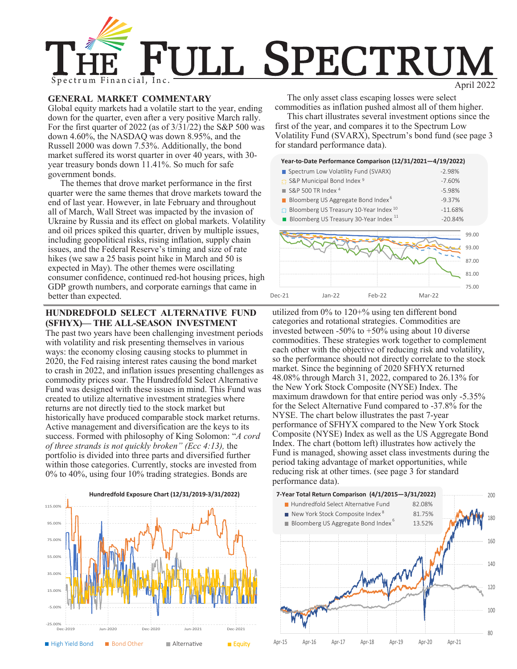

# **GENERAL MARKET COMMENTARY**

Global equity markets had a volatile start to the year, ending down for the quarter, even after a very positive March rally. For the first quarter of 2022 (as of 3/31/22) the S&P 500 was down 4.60%, the NASDAQ was down 8.95%, and the Russell 2000 was down 7.53%. Additionally, the bond market suffered its worst quarter in over 40 years, with 30 year treasury bonds down 11.41%. So much for safe government bonds.

The themes that drove market performance in the first quarter were the same themes that drove markets toward the end of last year. However, in late February and throughout all of March, Wall Street was impacted by the invasion of Ukraine by Russia and its effect on global markets. Volatility and oil prices spiked this quarter, driven by multiple issues, including geopolitical risks, rising inflation, supply chain issues, and the Federal Reserve's timing and size of rate hikes (we saw a 25 basis point hike in March and 50 is expected in May). The other themes were oscillating consumer confidence, continued red-hot housing prices, high GDP growth numbers, and corporate earnings that came in better than expected.

## **HUNDREDFOLD SELECT ALTERNATIVE FUND (SFHYX)— THE ALL-SEASON INVESTMENT**

The past two years have been challenging investment periods with volatility and risk presenting themselves in various ways: the economy closing causing stocks to plummet in 2020, the Fed raising interest rates causing the bond market to crash in 2022, and inflation issues presenting challenges as commodity prices soar. The Hundredfold Select Alternative Fund was designed with these issues in mind. This Fund was created to utilize alternative investment strategies where returns are not directly tied to the stock market but historically have produced comparable stock market returns. Active management and diversification are the keys to its success. Formed with philosophy of King Solomon: "*A cord of three strands is not quickly broken" (Ecc 4:13),* the portfolio is divided into three parts and diversified further within those categories. Currently, stocks are invested from 0% to 40%, using four 10% trading strategies. Bonds are



The only asset class escaping losses were select commodities as inflation pushed almost all of them higher.

This chart illustrates several investment options since the first of the year, and compares it to the Spectrum Low Volatility Fund (SVARX), Spectrum's bond fund (see page 3 for standard performance data).

|        | Year-to-Date Performance Comparison (12/31/2021-4/19/2022)     |          |          |           |                                           |  |  |
|--------|----------------------------------------------------------------|----------|----------|-----------|-------------------------------------------|--|--|
|        | Spectrum Low Volatility Fund (SVARX)                           |          | $-2.98%$ |           |                                           |  |  |
|        | :: S&P Municipal Bond Index 9                                  |          | $-7.60%$ |           |                                           |  |  |
|        | $\blacksquare$ S&P 500 TR Index 4                              |          |          | $-5.98%$  |                                           |  |  |
|        | Bloomberg US Aggregate Bond Index <sup>6</sup>                 |          |          | $-9.37%$  |                                           |  |  |
|        | $\therefore$ Bloomberg US Treasury 10-Year Index 10            |          |          | $-11.68%$ |                                           |  |  |
|        | Bloomberg US Treasury 30-Year Index <sup>11</sup><br>$-20.84%$ |          |          |           |                                           |  |  |
|        |                                                                |          |          |           | 99.00<br>93.00<br>87.00<br>81.00<br>75.00 |  |  |
| Dec-21 | $Jan-22$                                                       | $Feb-22$ | Mar-22   |           |                                           |  |  |

utilized from 0% to 120+% using ten different bond categories and rotational strategies. Commodities are invested between -50% to +50% using about 10 diverse commodities. These strategies work together to complement each other with the objective of reducing risk and volatility, so the performance should not directly correlate to the stock market. Since the beginning of 2020 SFHYX returned 48.08% through March 31, 2022, compared to 26.13% for the New York Stock Composite (NYSE) Index. The maximum drawdown for that entire period was only -5.35% for the Select Alternative Fund compared to -37.8% for the NYSE. The chart below illustrates the past 7-year performance of SFHYX compared to the New York Stock Composite (NYSE) Index as well as the US Aggregate Bond Index. The chart (bottom left) illustrates how actively the Fund is managed, showing asset class investments during the period taking advantage of market opportunities, while reducing risk at other times. (see page 3 for standard performance data).

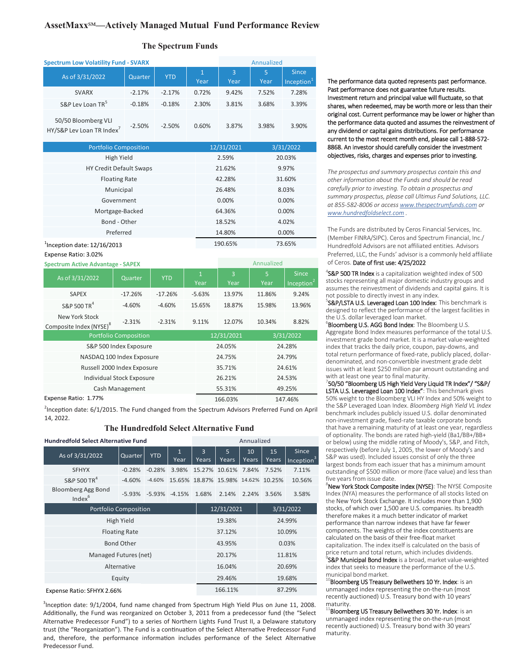# **AssetMaxx**℠**—Actively Managed Mutual Fund Performance Review**

### **The Spectrum Funds**

| <b>Spectrum Low Volatility Fund - SVARX</b>                  |          |            |                      | Annualized |                  |                                        |  |
|--------------------------------------------------------------|----------|------------|----------------------|------------|------------------|----------------------------------------|--|
| As of 3/31/2022                                              | Quarter  | <b>YTD</b> | $\mathbf{1}$<br>Year | 3<br>Year  | 5<br><b>Year</b> | <b>Since</b><br>Inception <sup>1</sup> |  |
| <b>SVARX</b>                                                 | $-2.17%$ | $-2.17%$   | 0.72%                | 9.42%      | 7.52%            | 7.28%                                  |  |
| S&P Lev Loan TR <sup>5</sup>                                 | $-0.18%$ | $-0.18%$   | 2.30%                | 3.81%      | 3.68%            | 3.39%                                  |  |
| 50/50 Bloomberg VLI<br>HY/S&P Lev Loan TR Index <sup>7</sup> | $-2.50%$ | $-2.50%$   | 0.60%                | 3.87%      | 3.98%            | 3.90%                                  |  |

| <b>Portfolio Composition</b>   | 12/31/2021 | 3/31/2022 |
|--------------------------------|------------|-----------|
| High Yield                     | 2.59%      | 20.03%    |
| <b>HY Credit Default Swaps</b> | 21.62%     | 9.97%     |
| <b>Floating Rate</b>           | 42.28%     | 31.60%    |
| Municipal                      | 26.48%     | 8.03%     |
| Government                     | 0.00%      | 0.00%     |
| Mortgage-Backed                | 64.36%     | 0.00%     |
| Bond - Other                   | 18.52%     | 4.02%     |
| Preferred                      | 14.80%     | 0.00%     |
| $1$ Inception date: 12/16/2013 | 190.65%    | 73.65%    |
| Expense Ratio: 3.02%           |            |           |

#### **Spectrum Active Advantage - SAPEX** Annualized

| $\sigma$ and $\sigma$ is a set of the state $\sigma$ and $\sigma$ and $\sigma$ and $\sigma$ |           |            |                      |                         |            |                                        |  |
|---------------------------------------------------------------------------------------------|-----------|------------|----------------------|-------------------------|------------|----------------------------------------|--|
| As of 3/31/2022                                                                             | Quarter   | <b>YTD</b> | $\mathbf{1}$<br>Year | $\overline{3}$<br>Year  | 5.<br>Year | <b>Since</b><br>Inception <sup>2</sup> |  |
| <b>SAPEX</b>                                                                                | $-17.26%$ | $-17.26%$  | $-5.63%$             | 13.97%                  | 11.86%     | 9.24%                                  |  |
| S&P 500 TR <sup>4</sup>                                                                     | $-4.60%$  | $-4.60%$   | 15.65%               | 18.87%                  | 15.98%     | 13.96%                                 |  |
| New York Stock<br>Composite Index (NYSE) <sup>8</sup>                                       | $-2.31%$  | $-2.31%$   |                      | 12.07%                  | 10.34%     | 8.82%                                  |  |
| <b>Portfolio Composition</b>                                                                |           |            |                      | 12/31/2021<br>3/31/2022 |            |                                        |  |
| S&P 500 Index Exposure                                                                      |           |            |                      | 24.05%                  |            | 24.28%                                 |  |
| NASDAQ 100 Index Exposure                                                                   |           |            |                      | 24.75%                  |            | 24.79%                                 |  |
| Russell 2000 Index Exposure                                                                 |           |            |                      | 35.71%                  |            | 24.61%                                 |  |
| Individual Stock Exposure                                                                   |           |            |                      | 26.21%                  |            | 24.53%                                 |  |
| Cash Management                                                                             |           |            |                      | 55.31%                  |            | 49.25%                                 |  |
| Expense Ratio: 1.77%                                                                        |           |            |                      | 166.03%<br>147.46%      |            |                                        |  |

<sup>2</sup>Inception date: 6/1/2015. The Fund changed from the Spectrum Advisors Preferred Fund on April 14, 2022

#### **The Hundredfold Select Alternative Fund**

| <b>Hundredfold Select Alternative Fund</b>      |          |            |                      |                                    | Annualized          |                          |             |                                 |  |  |
|-------------------------------------------------|----------|------------|----------------------|------------------------------------|---------------------|--------------------------|-------------|---------------------------------|--|--|
| As of 3/31/2022                                 | Quarter  | <b>YTD</b> | $\mathbf{1}$<br>Year | $\overline{3}$<br>Years            | 5<br>Years          | 10 <sup>1</sup><br>Years | 15<br>Years | Since<br>Inception <sup>3</sup> |  |  |
| <b>SFHYX</b>                                    | $-0.28%$ | $-0.28%$   | 3.98%                |                                    | 15.27% 10.61% 7.84% |                          | 7.52%       | 7.11%                           |  |  |
| S&P 500 TR <sup>4</sup>                         | $-4.60%$ | $-4.60%$   |                      | 15.65% 18.87% 15.98% 14.62% 10.25% |                     |                          |             | 10.56%                          |  |  |
| <b>Bloomberg Agg Bond</b><br>Index <sup>6</sup> | -5.93%   |            | $-5.93\% -4.15\%$    | 1.68%                              | 2.14%               | 2.24%                    | 3.56%       | 3.58%                           |  |  |
| <b>Portfolio Composition</b>                    |          |            |                      |                                    | 12/31/2021          |                          |             | 3/31/2022                       |  |  |
| High Yield                                      |          |            |                      |                                    | 19.38%              |                          | 24.99%      |                                 |  |  |
| <b>Floating Rate</b>                            |          |            |                      |                                    | 37.12%              |                          | 10.09%      |                                 |  |  |
| <b>Bond Other</b>                               |          |            |                      |                                    | 43.95%              |                          | 0.03%       |                                 |  |  |
| Managed Futures (net)                           |          |            |                      |                                    | 20.17%              |                          | 11.81%      |                                 |  |  |
| Alternative                                     |          |            |                      |                                    | 16.04%              |                          | 20.69%      |                                 |  |  |
| Equity                                          |          |            |                      |                                    | 29.46%              |                          |             | 19.68%                          |  |  |
| Expense Ratio: SFHYX 2.66%                      |          |            |                      |                                    | 166.11%<br>87.29%   |                          |             |                                 |  |  |

<sup>3</sup>Inception date: 9/1/2004, fund name changed from Spectrum High Yield Plus on June 11, 2008. Additionally, the Fund was reorganized on October 3, 2011 from a predecessor fund (the "Select Alternative Predecessor Fund") to a series of Northern Lights Fund Trust II, a Delaware statutory trust (the "Reorganization"). The Fund is a continuation of the Select Alternative Predecessor Fund and, therefore, the performance information includes performance of the Select Alternative Predecessor Fund.

The performance data quoted represents past performance. Past performance does not guarantee future results. Investment return and principal value will fluctuate, so that shares, when redeemed, may be worth more or less than their original cost. Current performance may be lower or higher than the performance data quoted and assumes the reinvestment of any dividend or capital gains distributions. For performance current to the most recent month end, please call 1-888-572- 8868. An investor should carefully consider the investment objectives, risks, charges and expenses prior to investing.

*The prospectus and summary prospectus contain this and other information about the Funds and should be read carefully prior to investing. To obtain a prospectus and summary prospectus, please call Ultimus Fund Solutions, LLC. at 855-582-8006 or access [www.thespectrumfunds.com](http://www.thespectrumfunds.com) or [www.hundredfoldselect.com](http://www.hundredfoldselect.com) .* 

The Funds are distributed by Ceros Financial Services, Inc. (Member FINRA/SIPC). Ceros and Spectrum Financial, Inc./ Hundredfold Advisors are not affiliated entities. Advisors Preferred, LLC, the Funds' advisor is a commonly held affiliate of Ceros. Date of first use: 4/25/2022

<sup>4</sup>S&P 500 TR Index is a capitalization weighted index of 500 stocks representing all major domestic industry groups and assumes the reinvestment of dividends and capital gains. It is not possible to directly invest in any index.

<sup>5</sup>S&P/LSTA U.S. Leveraged Loan 100 Index: This benchmark is designed to reflect the performance of the largest facilities in the U.S. dollar leveraged loan market.

**Bloomberg U.S. AGG Bond Index: The Bloomberg U.S.** Aggregate Bond Index measures performance of the total U.S. investment grade bond market. It is a market value-weighted index that tracks the daily price, coupon, pay-downs, and total return performance of fixed-rate, publicly placed, dollardenominated, and non-convertible investment grade debt issues with at least \$250 million par amount outstanding and with at least one year to final maturity.

7 50/50 "Bloomberg US High Yield Very Liquid TR Index"/ "S&P/ LSTA U.S. Leveraged Loan 100 Index": This benchmark gives 50% weight to the Bloomberg VLI HY Index and 50% weight to the S&P Leveraged Loan Index. *Bloomberg High Yield VL Index*  benchmark includes publicly issued U.S. dollar denominated non-investment grade, fixed-rate taxable corporate bonds that have a remaining maturity of at least one year, regardless of optionality. The bonds are rated high-yield (Ba1/BB+/BB+ or below) using the middle rating of Moody's, S&P, and Fitch, respectively (before July 1, 2005, the lower of Moody's and S&P was used). Included issues consist of only the three largest bonds from each issuer that has a minimum amount outstanding of \$500 million or more (face value) and less than five years from issue date.

<sup>8</sup>New York Stock Composite Index (NYSE): The NYSE Composite Index (NYA) measures the performance of all stocks listed on the New York Stock Exchange. It includes more than 1,900 stocks, of which over 1,500 are U.S. companies. Its breadth therefore makes it a much better indicator of market performance than narrow indexes that have far fewer components. The weights of the index constituents are calculated on the basis of their free-float market capitalization. The index itself is calculated on the basis of price return and total return, which includes dividends. <sup>9</sup>S&P Municipal Bond Index is a broad, market value-weighted index that seeks to measure the performance of the U.S. municipal bond market.

 $^{10}$ Bloomberg US Treasury Bellwethers 10 Yr. Index: is an unmanaged index representing the on-the-run (most recently auctioned) U.S. Treasury bond with 10 years' maturity.

 $^{1}$ Bloomberg US Treasury Bellwethers 30 Yr. Index: is an unmanaged index representing the on-the-run (most recently auctioned) U.S. Treasury bond with 30 years' maturity.